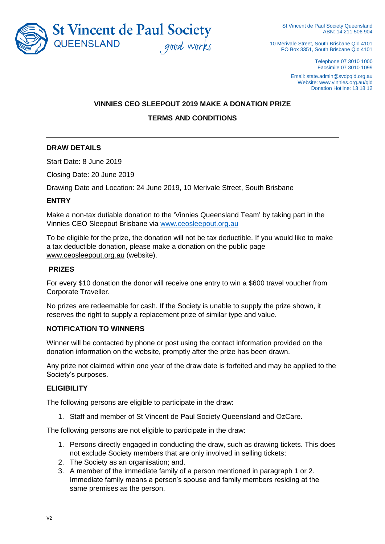

10 Merivale Street, South Brisbane Qld 4101 PO Box 3351, South Brisbane Qld 4101

> Telephone 07 3010 1000 Facsimile 07 3010 1099

Email: state.admin@svdpqld.org.au Website: www.vinnies.org.au/qld Donation Hotline: 13 18 12

# **VINNIES CEO SLEEPOUT 2019 MAKE A DONATION PRIZE TERMS AND CONDITIONS**

## **DRAW DETAILS**

Start Date: 8 June 2019

Closing Date: 20 June 2019

Drawing Date and Location: 24 June 2019, 10 Merivale Street, South Brisbane

#### **ENTRY**

Make a non-tax dutiable donation to the 'Vinnies Queensland Team' by taking part in the Vinnies CEO Sleepout Brisbane via [www.ceosleepout.org.au](http://www.ceosleepout.org.au/)

To be eligible for the prize, the donation will not be tax deductible. If you would like to make a tax deductible donation, please make a donation on the public page [www.ceosleepout.org.au](http://www.ceosleepout.org.au/) (website).

#### **PRIZES**

For every \$10 donation the donor will receive one entry to win a \$600 travel voucher from Corporate Traveller.

No prizes are redeemable for cash. If the Society is unable to supply the prize shown, it reserves the right to supply a replacement prize of similar type and value.

## **NOTIFICATION TO WINNERS**

Winner will be contacted by phone or post using the contact information provided on the donation information on the website, promptly after the prize has been drawn.

Any prize not claimed within one year of the draw date is forfeited and may be applied to the Society's purposes.

## **ELIGIBILITY**

The following persons are eligible to participate in the draw:

1. Staff and member of St Vincent de Paul Society Queensland and OzCare.

The following persons are not eligible to participate in the draw:

- 1. Persons directly engaged in conducting the draw, such as drawing tickets. This does not exclude Society members that are only involved in selling tickets;
- 2. The Society as an organisation; and.
- 3. A member of the immediate family of a person mentioned in paragraph 1 or 2. Immediate family means a person's spouse and family members residing at the same premises as the person.